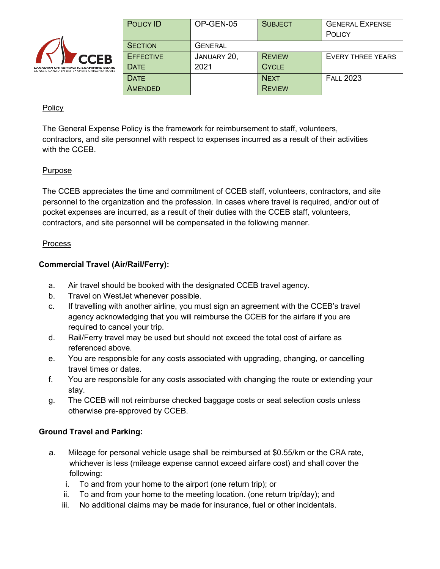

| POLICY ID        | OP-GEN-05      | <b>SUBJECT</b> | <b>GENERAL EXPENSE</b> |
|------------------|----------------|----------------|------------------------|
|                  |                |                | POLICY                 |
| <b>SECTION</b>   | <b>GENERAL</b> |                |                        |
| <b>EFFECTIVE</b> | JANUARY 20,    | <b>REVIEW</b>  | EVERY THREE YEARS      |
| <b>DATF</b>      | 2021           | <b>CYCLE</b>   |                        |
| <b>DATE</b>      |                | <b>NEXT</b>    | <b>FALL 2023</b>       |
| AMENDED          |                | <b>REVIEW</b>  |                        |

## **Policy**

The General Expense Policy is the framework for reimbursement to staff, volunteers, contractors, and site personnel with respect to expenses incurred as a result of their activities with the CCEB.

## Purpose

The CCEB appreciates the time and commitment of CCEB staff, volunteers, contractors, and site personnel to the organization and the profession. In cases where travel is required, and/or out of pocket expenses are incurred, as a result of their duties with the CCEB staff, volunteers, contractors, and site personnel will be compensated in the following manner.

### **Process**

## **Commercial Travel (Air/Rail/Ferry):**

- a. Air travel should be booked with the designated CCEB travel agency.
- b. Travel on WestJet whenever possible.
- c. If travelling with another airline, you must sign an agreement with the CCEB's travel agency acknowledging that you will reimburse the CCEB for the airfare if you are required to cancel your trip.
- d. Rail/Ferry travel may be used but should not exceed the total cost of airfare as referenced above.
- e. You are responsible for any costs associated with upgrading, changing, or cancelling travel times or dates.
- f. You are responsible for any costs associated with changing the route or extending your stay.
- g. The CCEB will not reimburse checked baggage costs or seat selection costs unless otherwise pre-approved by CCEB.

### **Ground Travel and Parking:**

- a. Mileage for personal vehicle usage shall be reimbursed at \$0.55/km or the CRA rate, whichever is less (mileage expense cannot exceed airfare cost) and shall cover the following:
	- i. To and from your home to the airport (one return trip); or
	- ii. To and from your home to the meeting location. (one return trip/day); and
	- iii. No additional claims may be made for insurance, fuel or other incidentals.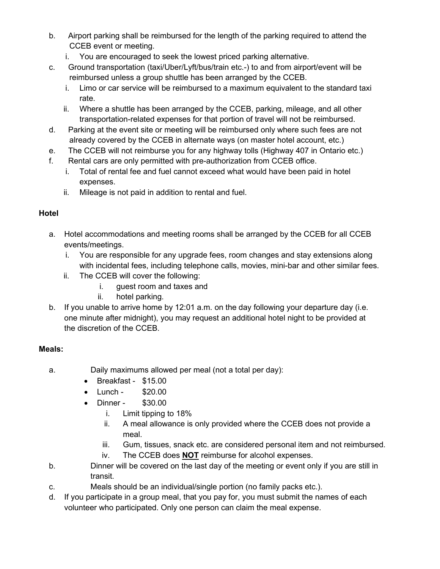- b. Airport parking shall be reimbursed for the length of the parking required to attend the CCEB event or meeting.
	- i. You are encouraged to seek the lowest priced parking alternative.
- c. Ground transportation (taxi/Uber/Lyft/bus/train etc.-) to and from airport/event will be reimbursed unless a group shuttle has been arranged by the CCEB.
	- i. Limo or car service will be reimbursed to a maximum equivalent to the standard taxi rate.
	- ii. Where a shuttle has been arranged by the CCEB, parking, mileage, and all other transportation-related expenses for that portion of travel will not be reimbursed.
- d. Parking at the event site or meeting will be reimbursed only where such fees are not already covered by the CCEB in alternate ways (on master hotel account, etc.)
- e. The CCEB will not reimburse you for any highway tolls (Highway 407 in Ontario etc.)
- f. Rental cars are only permitted with pre-authorization from CCEB office.
	- i. Total of rental fee and fuel cannot exceed what would have been paid in hotel expenses.
	- ii. Mileage is not paid in addition to rental and fuel.

# **Hotel**

- a. Hotel accommodations and meeting rooms shall be arranged by the CCEB for all CCEB events/meetings.
	- i. You are responsible for any upgrade fees, room changes and stay extensions along with incidental fees, including telephone calls, movies, mini-bar and other similar fees.
	- ii. The CCEB will cover the following:
		- i. guest room and taxes and
		- ii. hotel parking.
- b. If you unable to arrive home by 12:01 a.m. on the day following your departure day (i.e. one minute after midnight), you may request an additional hotel night to be provided at the discretion of the CCEB.

# **Meals:**

- a. Daily maximums allowed per meal (not a total per day):
	- Breakfast \$15.00
	- Lunch \$20.00
	- Dinner \$30.00
		- i. Limit tipping to 18%
		- ii. A meal allowance is only provided where the CCEB does not provide a meal.
		- iii. Gum, tissues, snack etc. are considered personal item and not reimbursed.
		- iv. The CCEB does **NOT** reimburse for alcohol expenses.
- b. Dinner will be covered on the last day of the meeting or event only if you are still in transit.
- c. Meals should be an individual/single portion (no family packs etc.).
- d. If you participate in a group meal, that you pay for, you must submit the names of each volunteer who participated. Only one person can claim the meal expense.